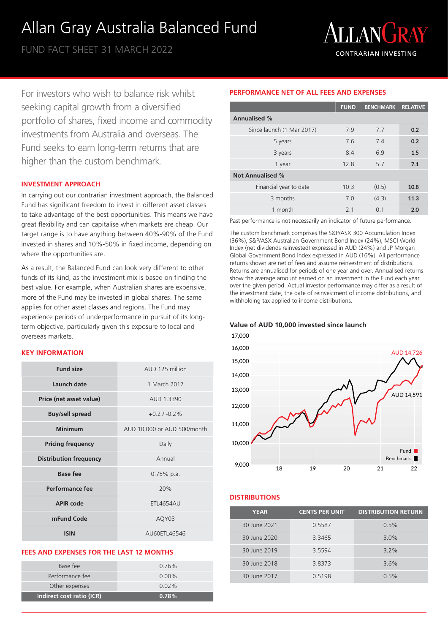# Allan Gray Australia Balanced Fund

FUND FACT SHEET 31 MARCH 2022



For investors who wish to balance risk whilst seeking capital growth from a diversified portfolio of shares, fixed income and commodity investments from Australia and overseas. The Fund seeks to earn long-term returns that are higher than the custom benchmark.

#### **INVESTMENT APPROACH**

In carrying out our contrarian investment approach, the Balanced Fund has significant freedom to invest in different asset classes to take advantage of the best opportunities. This means we have great flexibility and can capitalise when markets are cheap. Our target range is to have anything between 40%-90% of the Fund invested in shares and 10%-50% in fixed income, depending on where the opportunities are.

As a result, the Balanced Fund can look very different to other funds of its kind, as the investment mix is based on finding the best value. For example, when Australian shares are expensive, more of the Fund may be invested in global shares. The same applies for other asset classes and regions. The Fund may experience periods of underperformance in pursuit of its longterm objective, particularly given this exposure to local and overseas markets.

#### **KEY INFORMATION**

| <b>Fund size</b>              | AUD 125 million             |  |  |
|-------------------------------|-----------------------------|--|--|
| Launch date                   | 1 March 2017                |  |  |
| Price (net asset value)       | AUD 1.3390                  |  |  |
| <b>Buy/sell spread</b>        | $+0.2$ / $-0.2\%$           |  |  |
| Minimum                       | AUD 10,000 or AUD 500/month |  |  |
| <b>Pricing frequency</b>      | Daily                       |  |  |
| <b>Distribution frequency</b> | Annual                      |  |  |
| <b>Base fee</b>               | $0.75\%$ p.a.               |  |  |
| Performance fee               | 20%                         |  |  |
| APIR code                     | <b>ETL4654AU</b>            |  |  |
| mFund Code                    | AQY03                       |  |  |
| <b>ISIN</b>                   | AU60FTI 46546               |  |  |

# **FEES AND EXPENSES FOR THE LAST 12 MONTHS**

| Indirect cost ratio (ICR) | 0.78%    |
|---------------------------|----------|
| Other expenses            | $0.02\%$ |
| Performance fee           | $0.00\%$ |
| Base fee                  | $0.76\%$ |
|                           |          |

# **PERFORMANCE NET OF ALL FEES AND EXPENSES**

|                           | <b>FUND</b>    | <b>BENCHMARK RELATIVE</b> |      |
|---------------------------|----------------|---------------------------|------|
| <b>Annualised %</b>       |                |                           |      |
| Since launch (1 Mar 2017) | 7.9            | 7.7                       | 0.2  |
| 5 years                   | 7.6            | 7.4                       | 0.2  |
| 3 years                   | 8.4            | 6.9                       | 1.5  |
| 1 year                    | 12.8           | 5.7                       | 7.1  |
| <b>Not Annualised %</b>   |                |                           |      |
| Financial year to date    | 10.3           | (0.5)                     | 10.8 |
| 3 months                  | 7.0            | (4.3)                     | 11.3 |
| 1 month                   | 2 <sub>1</sub> | O 1                       | 2.0  |

Past performance is not necessarily an indicator of future performance.

The custom benchmark comprises the S&P/ASX 300 Accumulation Index (36%), S&P/ASX Australian Government Bond Index (24%), MSCI World Index (net dividends reinvested) expressed in AUD (24%) and JP Morgan Global Government Bond Index expressed in AUD (16%). All performance returns shown are net of fees and assume reinvestment of distributions. Returns are annualised for periods of one year and over. Annualised returns show the average amount earned on an investment in the Fund each year over the given period. Actual investor performance may differ as a result of the investment date, the date of reinvestment of income distributions, and withholding tax applied to income distributions.

### **Value of AUD 10,000 invested since launch**



# **DISTRIBUTIONS**

| <b>YEAR</b>  | <b>CENTS PER UNIT</b> | <b>DISTRIBUTION RETURN</b> |
|--------------|-----------------------|----------------------------|
| 30 June 2021 | 0.5587                | 0.5%                       |
| 30 June 2020 | 3.3465                | $3.0\%$                    |
| 30 June 2019 | 3.5594                | $3.2\%$                    |
| 30 June 2018 | 3.8373                | 3.6%                       |
| 30 June 2017 | 0.5198                | 0.5%                       |